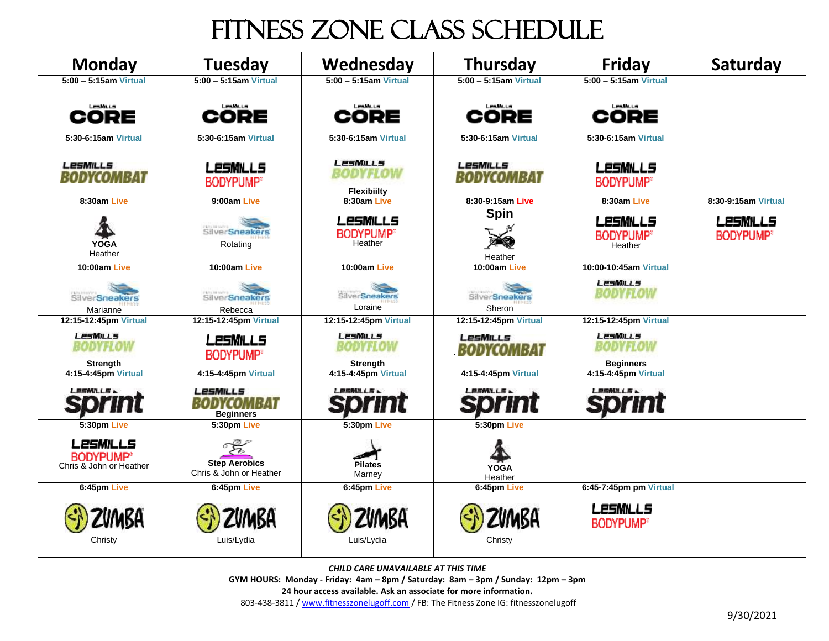## fitness Zone Class Schedule

| <b>Monday</b>                                           | Tuesday                                         | Wednesday                                      | Thursday                 | <b>Friday</b>                                   | Saturday                     |
|---------------------------------------------------------|-------------------------------------------------|------------------------------------------------|--------------------------|-------------------------------------------------|------------------------------|
| $5:00 - 5:15$ am Virtual                                | $5:00 - 5:15$ am Virtual                        | $5:00 - 5:15$ am Virtual                       | $5:00 - 5:15$ am Virtual | $5:00 - 5:15$ am Virtual                        |                              |
| Lesimus<br>CORE                                         | Lesmus<br>CORE                                  | CORE                                           | CORE                     | Lesmus<br>CORE                                  |                              |
| 5:30-6:15am Virtual                                     | 5:30-6:15am Virtual                             | 5:30-6:15am Virtual                            | 5:30-6:15am Virtual      | 5:30-6:15am Virtual                             |                              |
| LesMills<br>BODYCOMBAT                                  | <b>LESMILLS</b><br><b>BODYPUMP®</b>             | LesMuls<br>BODYFLOW<br><b>Flexibiilty</b>      | LesMills<br>BODYCOMBAT   | <b>LESMILLS</b><br><b>BODYPUMP®</b>             |                              |
| 8:30am Live                                             | 9:00am Live                                     | 8:30am Live                                    | 8:30-9:15am Live         | 8:30am Live                                     | 8:30-9:15am Virtual          |
| <b>YOGA</b><br>Heather                                  | SilverSneakers<br>Rotating                      | <b>LesMILLS</b><br><b>BODYPUMP®</b><br>Heather | <b>Spin</b><br>Heather   | LESMILLS<br><b>BODYPUMP®</b><br>Heather         | LESMILLS<br><b>BODYPUMP®</b> |
| 10:00am Live                                            | 10:00am Live                                    | 10:00am Live                                   | 10:00am Live             | 10:00-10:45am Virtual                           |                              |
| SilverSneakers<br>Marianne                              | SilverSneakers<br>Rebecca                       | SilverSneakers<br>Loraine                      | SilverSneakers<br>Sheron | <b>LesMILLS</b><br><b>BODYFLOW</b>              |                              |
| 12:15-12:45pm Virtual                                   | 12:15-12:45pm Virtual                           | 12:15-12:45pm Virtual                          | 12:15-12:45pm Virtual    | 12:15-12:45pm Virtual                           |                              |
| <b>LesMILLS</b><br>BODYFLOW<br><b>Strength</b>          | LESMILLS<br><b>BODYPUMP®</b>                    | <b>LesMILLS</b><br>BODYFLOW<br>Strength        | LesMills<br>BODYCOMBAT   | <b>LesMILLS</b><br>BODYFLOW<br><b>Beginners</b> |                              |
| 4:15-4:45pm Virtual                                     | 4:15-4:45pm Virtual                             | 4:15-4:45pm Virtual                            | 4:15-4:45pm Virtual      | 4:15-4:45pm Virtual                             |                              |
| しゅうかんしらん                                                | LesMills<br>COMBAT<br><b>Beginners</b>          | <b>LESMILLS &amp;</b>                          | <b>LESMILLS &amp;</b>    | しきらめんしらん                                        |                              |
| 5:30pm Live                                             | 5:30pm Live                                     | 5:30pm Live                                    | 5:30pm Live              |                                                 |                              |
| LesMills<br><b>BODYPUMP®</b><br>Chris & John or Heather | <b>Step Aerobics</b><br>Chris & John or Heather | <b>Pilates</b><br>Marney                       | <b>YOGA</b><br>Heather   |                                                 |                              |
| 6:45pm Live                                             | 6:45pm Live                                     | 6:45pm Live                                    | 6:45pm Live              | 6:45-7:45pm pm Virtual                          |                              |
| Christy                                                 | Luis/Lydia                                      | Luis/Lydia                                     | Christy                  | LesMills<br><b>BODYPUMP®</b>                    |                              |

*CHILD CARE UNAVAILABLE AT THIS TIME*

**GYM HOURS: Monday - Friday: 4am – 8pm / Saturday: 8am – 3pm / Sunday: 12pm – 3pm**

**24 hour access available. Ask an associate for more information.**

803-438-3811 [/ www.fitnesszonelugoff.com](http://www.fitnesszonelugoff.com/) / FB: The Fitness Zone IG: fitnesszonelugoff